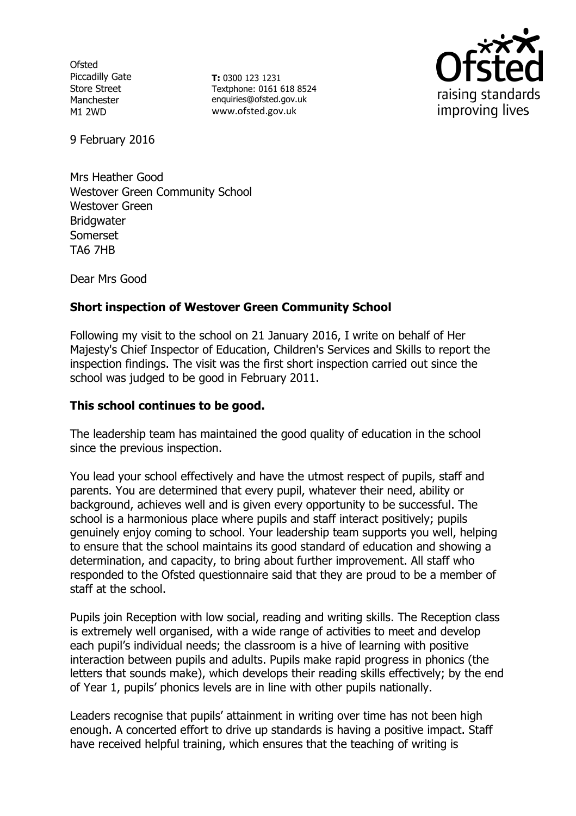**Ofsted** Piccadilly Gate Store Street Manchester M1 2WD

**T:** 0300 123 1231 Textphone: 0161 618 8524 enquiries@ofsted.gov.uk www.ofsted.gov.uk



9 February 2016

Mrs Heather Good Westover Green Community School Westover Green **Bridgwater** Somerset TA6 7HB

Dear Mrs Good

### **Short inspection of Westover Green Community School**

Following my visit to the school on 21 January 2016, I write on behalf of Her Majesty's Chief Inspector of Education, Children's Services and Skills to report the inspection findings. The visit was the first short inspection carried out since the school was judged to be good in February 2011.

## **This school continues to be good.**

The leadership team has maintained the good quality of education in the school since the previous inspection.

You lead your school effectively and have the utmost respect of pupils, staff and parents. You are determined that every pupil, whatever their need, ability or background, achieves well and is given every opportunity to be successful. The school is a harmonious place where pupils and staff interact positively; pupils genuinely enjoy coming to school. Your leadership team supports you well, helping to ensure that the school maintains its good standard of education and showing a determination, and capacity, to bring about further improvement. All staff who responded to the Ofsted questionnaire said that they are proud to be a member of staff at the school.

Pupils join Reception with low social, reading and writing skills. The Reception class is extremely well organised, with a wide range of activities to meet and develop each pupil's individual needs; the classroom is a hive of learning with positive interaction between pupils and adults. Pupils make rapid progress in phonics (the letters that sounds make), which develops their reading skills effectively; by the end of Year 1, pupils' phonics levels are in line with other pupils nationally.

Leaders recognise that pupils' attainment in writing over time has not been high enough. A concerted effort to drive up standards is having a positive impact. Staff have received helpful training, which ensures that the teaching of writing is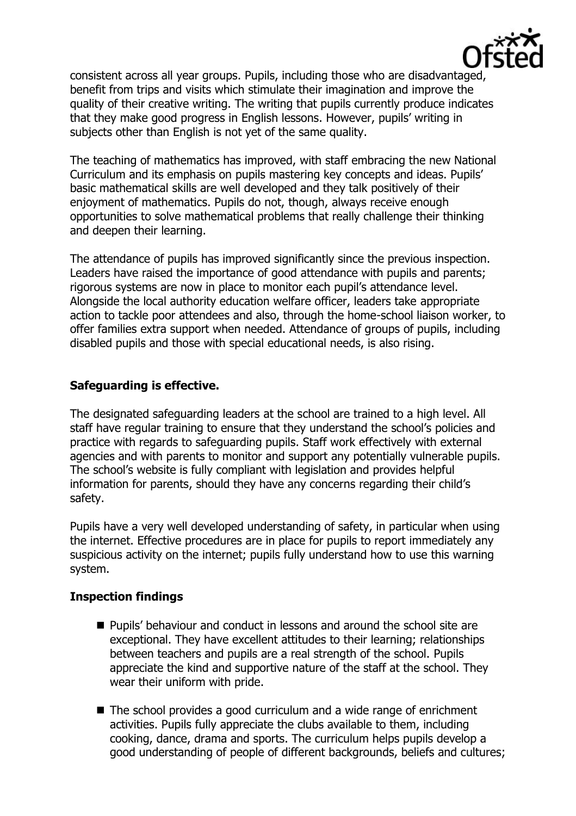

consistent across all year groups. Pupils, including those who are disadvantaged, benefit from trips and visits which stimulate their imagination and improve the quality of their creative writing. The writing that pupils currently produce indicates that they make good progress in English lessons. However, pupils' writing in subjects other than English is not yet of the same quality.

The teaching of mathematics has improved, with staff embracing the new National Curriculum and its emphasis on pupils mastering key concepts and ideas. Pupils' basic mathematical skills are well developed and they talk positively of their enjoyment of mathematics. Pupils do not, though, always receive enough opportunities to solve mathematical problems that really challenge their thinking and deepen their learning.

The attendance of pupils has improved significantly since the previous inspection. Leaders have raised the importance of good attendance with pupils and parents; rigorous systems are now in place to monitor each pupil's attendance level. Alongside the local authority education welfare officer, leaders take appropriate action to tackle poor attendees and also, through the home-school liaison worker, to offer families extra support when needed. Attendance of groups of pupils, including disabled pupils and those with special educational needs, is also rising.

# **Safeguarding is effective.**

The designated safeguarding leaders at the school are trained to a high level. All staff have regular training to ensure that they understand the school's policies and practice with regards to safeguarding pupils. Staff work effectively with external agencies and with parents to monitor and support any potentially vulnerable pupils. The school's website is fully compliant with legislation and provides helpful information for parents, should they have any concerns regarding their child's safety.

Pupils have a very well developed understanding of safety, in particular when using the internet. Effective procedures are in place for pupils to report immediately any suspicious activity on the internet; pupils fully understand how to use this warning system.

# **Inspection findings**

- Pupils' behaviour and conduct in lessons and around the school site are exceptional. They have excellent attitudes to their learning; relationships between teachers and pupils are a real strength of the school. Pupils appreciate the kind and supportive nature of the staff at the school. They wear their uniform with pride.
- The school provides a good curriculum and a wide range of enrichment activities. Pupils fully appreciate the clubs available to them, including cooking, dance, drama and sports. The curriculum helps pupils develop a good understanding of people of different backgrounds, beliefs and cultures;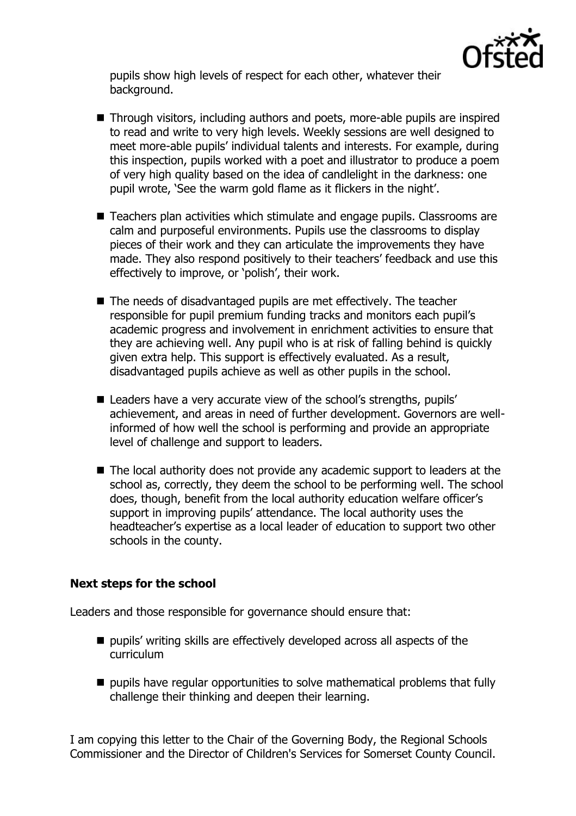

pupils show high levels of respect for each other, whatever their background.

- Through visitors, including authors and poets, more-able pupils are inspired to read and write to very high levels. Weekly sessions are well designed to meet more-able pupils' individual talents and interests. For example, during this inspection, pupils worked with a poet and illustrator to produce a poem of very high quality based on the idea of candlelight in the darkness: one pupil wrote, 'See the warm gold flame as it flickers in the night'.
- Teachers plan activities which stimulate and engage pupils. Classrooms are calm and purposeful environments. Pupils use the classrooms to display pieces of their work and they can articulate the improvements they have made. They also respond positively to their teachers' feedback and use this effectively to improve, or 'polish', their work.
- The needs of disadvantaged pupils are met effectively. The teacher responsible for pupil premium funding tracks and monitors each pupil's academic progress and involvement in enrichment activities to ensure that they are achieving well. Any pupil who is at risk of falling behind is quickly given extra help. This support is effectively evaluated. As a result, disadvantaged pupils achieve as well as other pupils in the school.
- Leaders have a very accurate view of the school's strengths, pupils' achievement, and areas in need of further development. Governors are wellinformed of how well the school is performing and provide an appropriate level of challenge and support to leaders.
- The local authority does not provide any academic support to leaders at the school as, correctly, they deem the school to be performing well. The school does, though, benefit from the local authority education welfare officer's support in improving pupils' attendance. The local authority uses the headteacher's expertise as a local leader of education to support two other schools in the county.

#### **Next steps for the school**

Leaders and those responsible for governance should ensure that:

- $\blacksquare$  pupils' writing skills are effectively developed across all aspects of the curriculum
- pupils have regular opportunities to solve mathematical problems that fully challenge their thinking and deepen their learning.

I am copying this letter to the Chair of the Governing Body, the Regional Schools Commissioner and the Director of Children's Services for Somerset County Council.